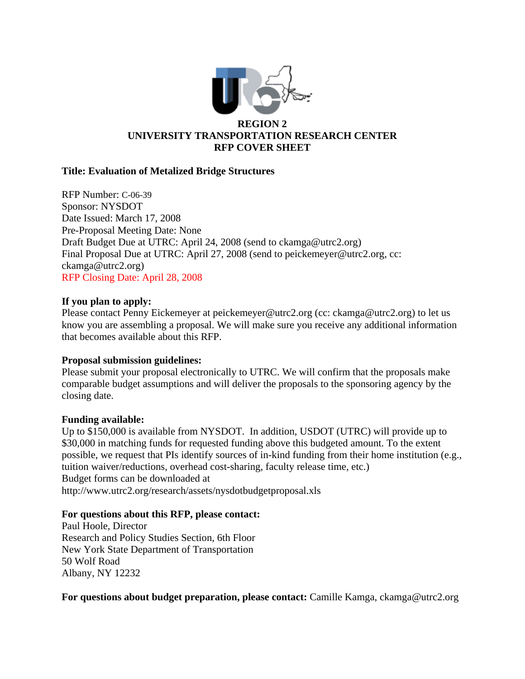

# **Title: Evaluation of Metalized Bridge Structures**

RFP Number: C-06-39 Sponsor: NYSDOT Date Issued: March 17, 2008 Pre-Proposal Meeting Date: None Draft Budget Due at UTRC: April 24, 2008 (send to ckamga@utrc2.org) Final Proposal Due at UTRC: April 27, 2008 (send to peickemeyer@utrc2.org, cc: ckamga@utrc2.org) RFP Closing Date: April 28, 2008

# **If you plan to apply:**

Please contact Penny Eickemeyer at peickemeyer@utrc2.org (cc: ckamga@utrc2.org) to let us know you are assembling a proposal. We will make sure you receive any additional information that becomes available about this RFP.

# **Proposal submission guidelines:**

Please submit your proposal electronically to UTRC. We will confirm that the proposals make comparable budget assumptions and will deliver the proposals to the sponsoring agency by the closing date.

# **Funding available:**

Up to \$150,000 is available from NYSDOT. In addition, USDOT (UTRC) will provide up to \$30,000 in matching funds for requested funding above this budgeted amount. To the extent possible, we request that PIs identify sources of in-kind funding from their home institution (e.g., tuition waiver/reductions, overhead cost-sharing, faculty release time, etc.) Budget forms can be downloaded at http://www.utrc2.org/research/assets/nysdotbudgetproposal.xls

# **For questions about this RFP, please contact:**

Paul Hoole, Director Research and Policy Studies Section, 6th Floor New York State Department of Transportation 50 Wolf Road Albany, NY 12232

**For questions about budget preparation, please contact:** Camille Kamga, ckamga@utrc2.org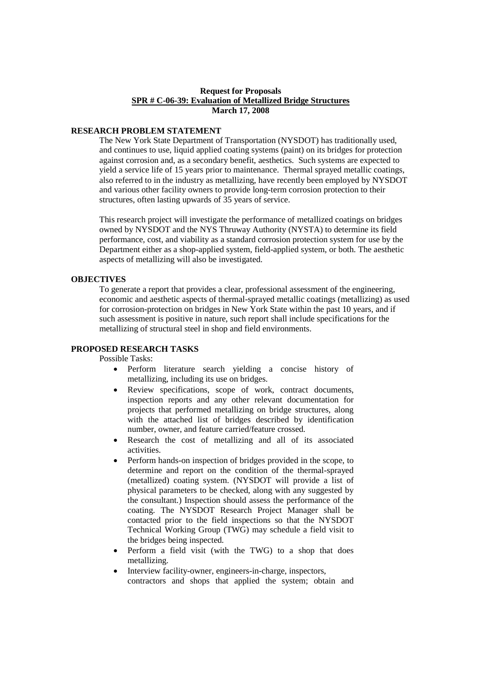# **Request for Proposals SPR # C-06-39: Evaluation of Metallized Bridge Structures March 17, 2008**

### **RESEARCH PROBLEM STATEMENT**

The New York State Department of Transportation (NYSDOT) has traditionally used, and continues to use, liquid applied coating systems (paint) on its bridges for protection against corrosion and, as a secondary benefit, aesthetics. Such systems are expected to yield a service life of 15 years prior to maintenance. Thermal sprayed metallic coatings, also referred to in the industry as metallizing, have recently been employed by NYSDOT and various other facility owners to provide long-term corrosion protection to their structures, often lasting upwards of 35 years of service.

This research project will investigate the performance of metallized coatings on bridges owned by NYSDOT and the NYS Thruway Authority (NYSTA) to determine its field performance, cost, and viability as a standard corrosion protection system for use by the Department either as a shop-applied system, field-applied system, or both. The aesthetic aspects of metallizing will also be investigated.

### **OBJECTIVES**

To generate a report that provides a clear, professional assessment of the engineering, economic and aesthetic aspects of thermal-sprayed metallic coatings (metallizing) as used for corrosion-protection on bridges in New York State within the past 10 years, and if such assessment is positive in nature, such report shall include specifications for the metallizing of structural steel in shop and field environments.

# **PROPOSED RESEARCH TASKS**

Possible Tasks:

- Perform literature search yielding a concise history of metallizing, including its use on bridges.
- Review specifications, scope of work, contract documents, inspection reports and any other relevant documentation for projects that performed metallizing on bridge structures, along with the attached list of bridges described by identification number, owner, and feature carried/feature crossed.
- Research the cost of metallizing and all of its associated activities.
- Perform hands-on inspection of bridges provided in the scope, to determine and report on the condition of the thermal-sprayed (metallized) coating system. (NYSDOT will provide a list of physical parameters to be checked, along with any suggested by the consultant.) Inspection should assess the performance of the coating. The NYSDOT Research Project Manager shall be contacted prior to the field inspections so that the NYSDOT Technical Working Group (TWG) may schedule a field visit to the bridges being inspected.
- Perform a field visit (with the TWG) to a shop that does metallizing.
- Interview facility-owner, engineers-in-charge, inspectors, contractors and shops that applied the system; obtain and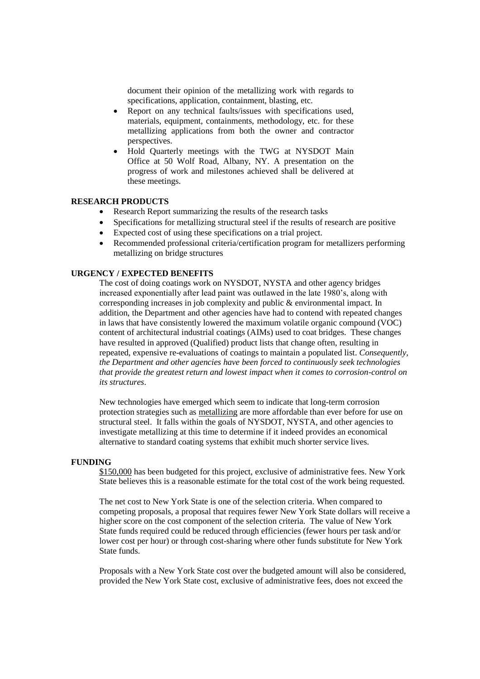document their opinion of the metallizing work with regards to specifications, application, containment, blasting, etc.

- Report on any technical faults/issues with specifications used, materials, equipment, containments, methodology, etc. for these metallizing applications from both the owner and contractor perspectives.
- Hold Quarterly meetings with the TWG at NYSDOT Main Office at 50 Wolf Road, Albany, NY. A presentation on the progress of work and milestones achieved shall be delivered at these meetings.

### **RESEARCH PRODUCTS**

- Research Report summarizing the results of the research tasks
- Specifications for metallizing structural steel if the results of research are positive
- Expected cost of using these specifications on a trial project.
- Recommended professional criteria/certification program for metallizers performing metallizing on bridge structures

### **URGENCY / EXPECTED BENEFITS**

The cost of doing coatings work on NYSDOT, NYSTA and other agency bridges increased exponentially after lead paint was outlawed in the late 1980's, along with corresponding increases in job complexity and public & environmental impact. In addition, the Department and other agencies have had to contend with repeated changes in laws that have consistently lowered the maximum volatile organic compound (VOC) content of architectural industrial coatings (AIMs) used to coat bridges. These changes have resulted in approved (Qualified) product lists that change often, resulting in repeated, expensive re-evaluations of coatings to maintain a populated list. *Consequently, the Department and other agencies have been forced to continuously seek technologies that provide the greatest return and lowest impact when it comes to corrosion-control on its structures*.

New technologies have emerged which seem to indicate that long-term corrosion protection strategies such as metallizing are more affordable than ever before for use on structural steel. It falls within the goals of NYSDOT, NYSTA, and other agencies to investigate metallizing at this time to determine if it indeed provides an economical alternative to standard coating systems that exhibit much shorter service lives.

#### **FUNDING**

\$150,000 has been budgeted for this project, exclusive of administrative fees. New York State believes this is a reasonable estimate for the total cost of the work being requested.

The net cost to New York State is one of the selection criteria. When compared to competing proposals, a proposal that requires fewer New York State dollars will receive a higher score on the cost component of the selection criteria. The value of New York State funds required could be reduced through efficiencies (fewer hours per task and/or lower cost per hour) or through cost-sharing where other funds substitute for New York State funds.

Proposals with a New York State cost over the budgeted amount will also be considered, provided the New York State cost, exclusive of administrative fees, does not exceed the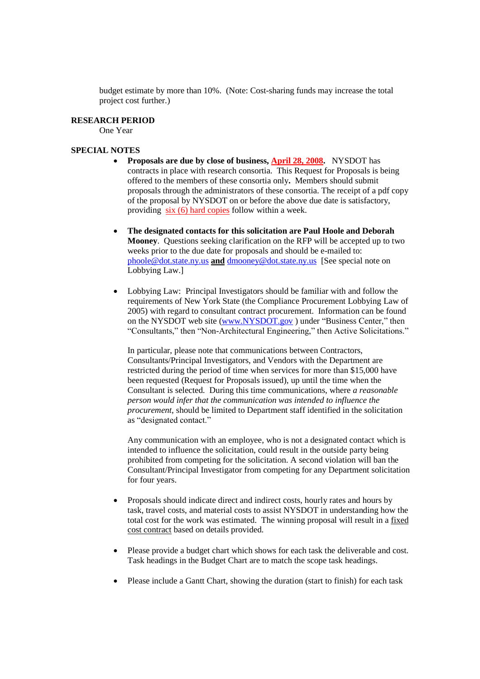budget estimate by more than 10%. (Note: Cost-sharing funds may increase the total project cost further.)

### **RESEARCH PERIOD**

One Year

### **SPECIAL NOTES**

- **Proposals are due by close of business, April 28, 2008.** NYSDOT has contracts in place with research consortia. This Request for Proposals is being offered to the members of these consortia only**.** Members should submit proposals through the administrators of these consortia. The receipt of a pdf copy of the proposal by NYSDOT on or before the above due date is satisfactory, providing six (6) hard copies follow within a week.
- **The designated contacts for this solicitation are Paul Hoole and Deborah Mooney**. Questions seeking clarification on the RFP will be accepted up to two weeks prior to the due date for proposals and should be e-mailed to: phoole@dot.state.ny.us **and** dmooney@dot.state.ny.us [See special note on Lobbying Law.]
- Lobbying Law: Principal Investigators should be familiar with and follow the requirements of New York State (the Compliance Procurement Lobbying Law of 2005) with regard to consultant contract procurement. Information can be found on the NYSDOT web site (www.NYSDOT.gov) under "Business Center," then "Consultants," then "Non-Architectural Engineering," then Active Solicitations."

In particular, please note that communications between Contractors, Consultants/Principal Investigators, and Vendors with the Department are restricted during the period of time when services for more than \$15,000 have been requested (Request for Proposals issued), up until the time when the Consultant is selected. During this time communications, where *a reasonable person would infer that the communication was intended to influence the procurement*, should be limited to Department staff identified in the solicitation as "designated contact."

Any communication with an employee, who is not a designated contact which is intended to influence the solicitation, could result in the outside party being prohibited from competing for the solicitation. A second violation will ban the Consultant/Principal Investigator from competing for any Department solicitation for four years.

- Proposals should indicate direct and indirect costs, hourly rates and hours by task, travel costs, and material costs to assist NYSDOT in understanding how the total cost for the work was estimated. The winning proposal will result in a fixed cost contract based on details provided.
- Please provide a budget chart which shows for each task the deliverable and cost. Task headings in the Budget Chart are to match the scope task headings.
- Please include a Gantt Chart, showing the duration (start to finish) for each task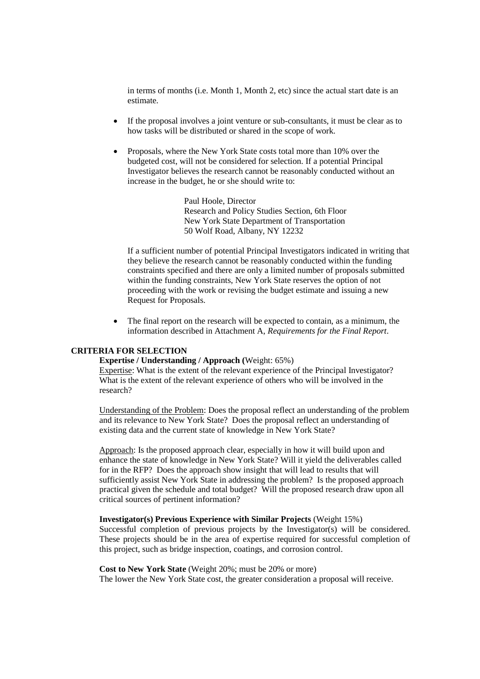in terms of months (i.e. Month 1, Month 2, etc) since the actual start date is an estimate.

- If the proposal involves a joint venture or sub-consultants, it must be clear as to how tasks will be distributed or shared in the scope of work.
- Proposals, where the New York State costs total more than 10% over the budgeted cost, will not be considered for selection. If a potential Principal Investigator believes the research cannot be reasonably conducted without an increase in the budget, he or she should write to:

Paul Hoole, Director Research and Policy Studies Section, 6th Floor New York State Department of Transportation 50 Wolf Road, Albany, NY 12232

If a sufficient number of potential Principal Investigators indicated in writing that they believe the research cannot be reasonably conducted within the funding constraints specified and there are only a limited number of proposals submitted within the funding constraints, New York State reserves the option of not proceeding with the work or revising the budget estimate and issuing a new Request for Proposals.

 The final report on the research will be expected to contain, as a minimum, the information described in Attachment A, *Requirements for the Final Report*.

# **CRITERIA FOR SELECTION**

### **Expertise / Understanding / Approach (**Weight: 65%)

Expertise: What is the extent of the relevant experience of the Principal Investigator? What is the extent of the relevant experience of others who will be involved in the research?

Understanding of the Problem: Does the proposal reflect an understanding of the problem and its relevance to New York State? Does the proposal reflect an understanding of existing data and the current state of knowledge in New York State?

Approach: Is the proposed approach clear, especially in how it will build upon and enhance the state of knowledge in New York State? Will it yield the deliverables called for in the RFP? Does the approach show insight that will lead to results that will sufficiently assist New York State in addressing the problem? Is the proposed approach practical given the schedule and total budget? Will the proposed research draw upon all critical sources of pertinent information?

# **Investigator(s) Previous Experience with Similar Projects** (Weight 15%)

Successful completion of previous projects by the Investigator(s) will be considered. These projects should be in the area of expertise required for successful completion of this project, such as bridge inspection, coatings, and corrosion control.

**Cost to New York State** (Weight 20%; must be 20% or more) The lower the New York State cost, the greater consideration a proposal will receive.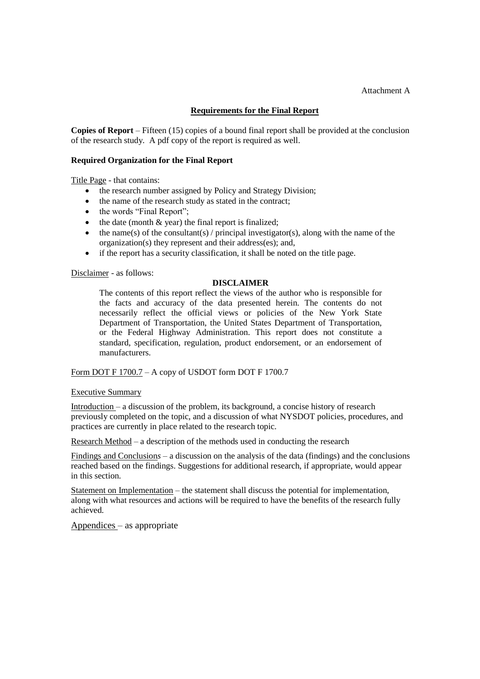#### Attachment A

# **Requirements for the Final Report**

**Copies of Report** – Fifteen (15) copies of a bound final report shall be provided at the conclusion of the research study. A pdf copy of the report is required as well.

### **Required Organization for the Final Report**

Title Page - that contains:

- the research number assigned by Policy and Strategy Division;
- the name of the research study as stated in the contract;
- $\bullet$  the words "Final Report";
- $\bullet$  the date (month  $\&$  year) the final report is finalized;
- $\bullet$  the name(s) of the consultant(s) / principal investigator(s), along with the name of the organization(s) they represent and their address(es); and,
- if the report has a security classification, it shall be noted on the title page.

### Disclaimer - as follows:

# **DISCLAIMER**

The contents of this report reflect the views of the author who is responsible for the facts and accuracy of the data presented herein. The contents do not necessarily reflect the official views or policies of the New York State Department of Transportation, the United States Department of Transportation, or the Federal Highway Administration. This report does not constitute a standard, specification, regulation, product endorsement, or an endorsement of manufacturers.

### Form DOT F 1700.7 – A copy of USDOT form DOT F 1700.7

### Executive Summary

Introduction –a discussion of the problem, its background, a concise history of research previously completed on the topic, and a discussion of what NYSDOT policies, procedures, and practices are currently in place related to the research topic.

Research Method –a description of the methods used in conducting the research

Findings and Conclusions – a discussion on the analysis of the data (findings) and the conclusions reached based on the findings. Suggestions for additional research, if appropriate, would appear in this section.

Statement on Implementation  $-$  the statement shall discuss the potential for implementation, along with what resources and actions will be required to have the benefits of the research fully achieved.

Appendices  $-$  as appropriate